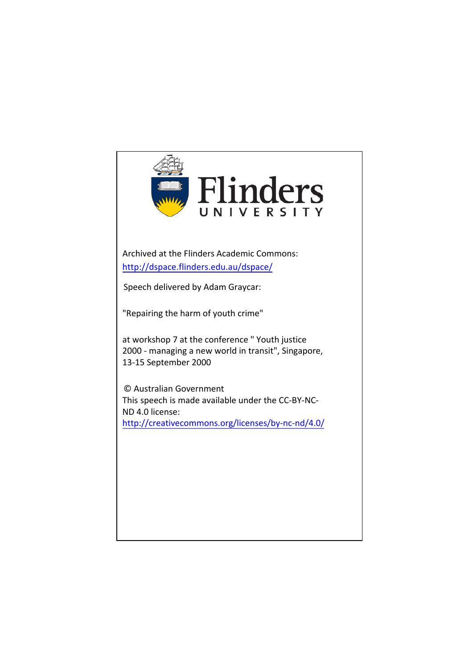

Archived at the Flinders Academic Commons: <http://dspace.flinders.edu.au/dspace/>

Speech delivered by Adam Graycar:

"Repairing the harm of youth crime"

at workshop 7 at the conference " Youth justice 2000 - managing a new world in transit", Singapore, 13-15 September 2000

© Australian Government This speech is [made available under the CC-BY-NC-](http://creativecommons.org/licenses/by-nc-nd/4.0/)ND 4.0 license: <http://creativecommons.org/licenses/by-nc-nd/4.0/>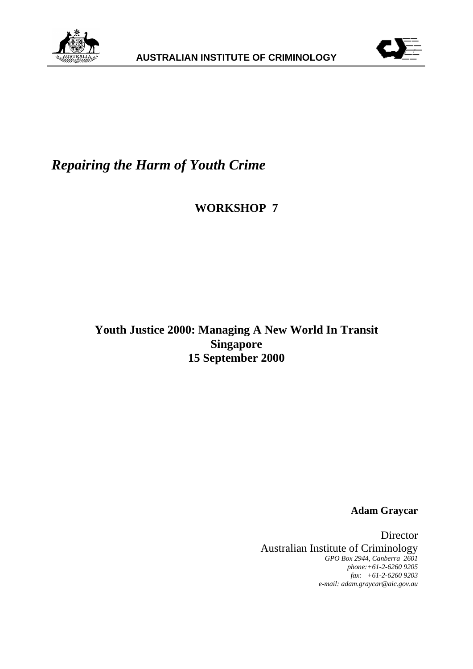



## *Repairing the Harm of Youth Crime*

**WORKSHOP 7**

**Youth Justice 2000: Managing A New World In Transit Singapore 15 September 2000**

**Adam Graycar**

Director Australian Institute of Criminology *GPO Box 2944, Canberra 2601 phone:+61-2-6260 9205 fax: +61-2-6260 9203 e-mail: adam.graycar@aic.gov.au*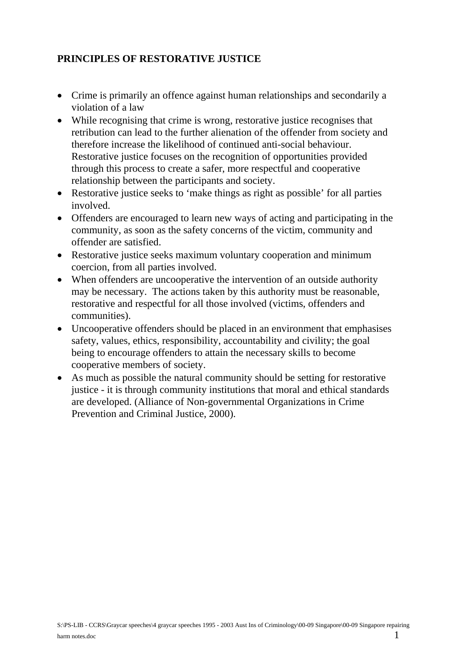## **PRINCIPLES OF RESTORATIVE JUSTICE**

- Crime is primarily an offence against human relationships and secondarily a violation of a law
- While recognising that crime is wrong, restorative justice recognises that retribution can lead to the further alienation of the offender from society and therefore increase the likelihood of continued anti-social behaviour. Restorative justice focuses on the recognition of opportunities provided through this process to create a safer, more respectful and cooperative relationship between the participants and society.
- Restorative justice seeks to 'make things as right as possible' for all parties involved.
- Offenders are encouraged to learn new ways of acting and participating in the community, as soon as the safety concerns of the victim, community and offender are satisfied.
- Restorative justice seeks maximum voluntary cooperation and minimum coercion, from all parties involved.
- When offenders are uncooperative the intervention of an outside authority may be necessary. The actions taken by this authority must be reasonable, restorative and respectful for all those involved (victims, offenders and communities).
- Uncooperative offenders should be placed in an environment that emphasises safety, values, ethics, responsibility, accountability and civility; the goal being to encourage offenders to attain the necessary skills to become cooperative members of society.
- As much as possible the natural community should be setting for restorative justice - it is through community institutions that moral and ethical standards are developed. (Alliance of Non-governmental Organizations in Crime Prevention and Criminal Justice, 2000).